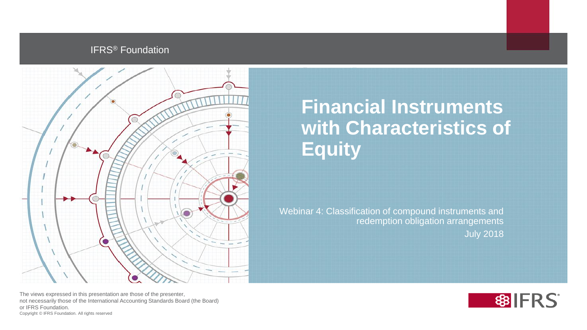## IFRS® Foundation



**Financial Instruments with Characteristics of Equity** 

Webinar 4: Classification of compound instruments and redemption obligation arrangements July 2018



The views expressed in this presentation are those of the presenter, not necessarily those of the International Accounting Standards Board (the Board) or IFRS Foundation. Copyright © IFRS Foundation. All rights reserved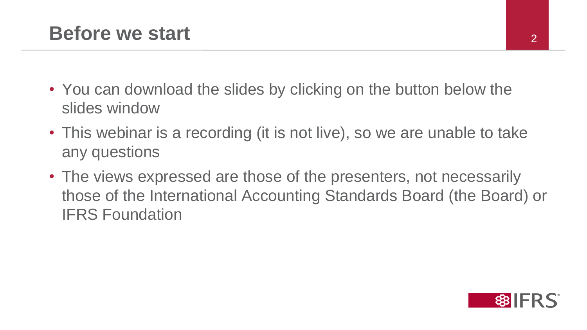- You can download the slides by clicking on the button below the slides window
- This webinar is a recording (it is not live), so we are unable to take any questions
- The views expressed are those of the presenters, not necessarily those of the International Accounting Standards Board (the Board) or IFRS Foundation

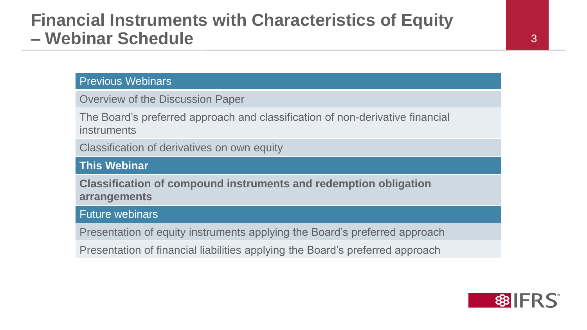## **Financial Instruments with Characteristics of Equity – Webinar Schedule** <sup>3</sup>

### Previous Webinars

Overview of the Discussion Paper

The Board's preferred approach and classification of non-derivative financial instruments

Classification of derivatives on own equity

## **This Webinar**

**Classification of compound instruments and redemption obligation arrangements**

## Future webinars

Presentation of equity instruments applying the Board's preferred approach

Presentation of financial liabilities applying the Board's preferred approach

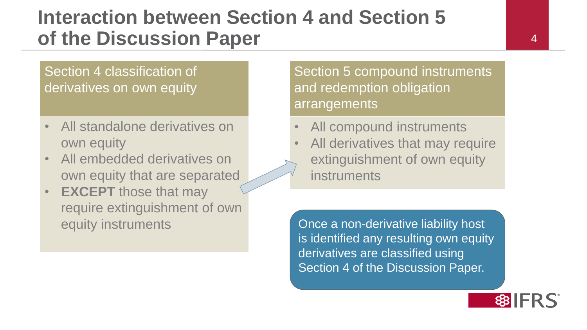# **Interaction between Section 4 and Section 5 of the Discussion Paper**

## Section 4 classification of derivatives on own equity

- All standalone derivatives on own equity
- All embedded derivatives on own equity that are separated
- **EXCEPT** those that may require extinguishment of own equity instruments

Section 5 compound instruments and redemption obligation arrangements

- All compound instruments
- All derivatives that may require extinguishment of own equity instruments

Once a non-derivative liability host is identified any resulting own equity derivatives are classified using Section 4 of the Discussion Paper.

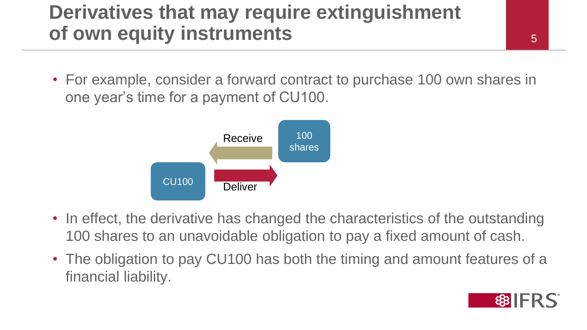# **Derivatives that may require extinguishment of own equity instruments**

• For example, consider a forward contract to purchase 100 own shares in one year's time for a payment of CU100.



- In effect, the derivative has changed the characteristics of the outstanding 100 shares to an unavoidable obligation to pay a fixed amount of cash.
- The obligation to pay CU100 has both the timing and amount features of a financial liability.

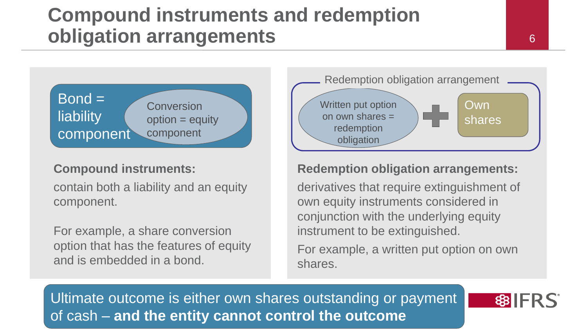# **Compound instruments and redemption obligation arrangements**



## **Compound instruments:**

contain both a liability and an equity component.

For example, a share conversion option that has the features of equity and is embedded in a bond.



## **Redemption obligation arrangements:**

derivatives that require extinguishment of own equity instruments considered in conjunction with the underlying equity instrument to be extinguished.

For example, a written put option on own shares.

Ultimate outcome is either own shares outstanding or payment of cash – **and the entity cannot control the outcome**

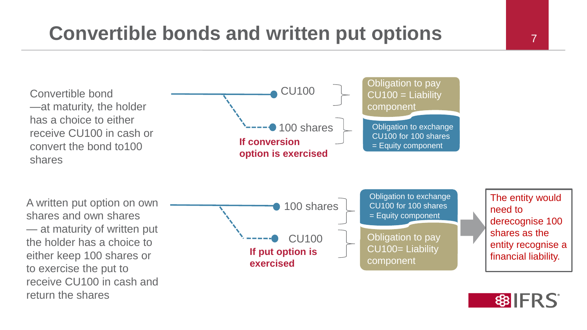# **Convertible bonds and written put options**





The entity would

derecognise 100

entity recognise a

financial liability.

shares as the

need to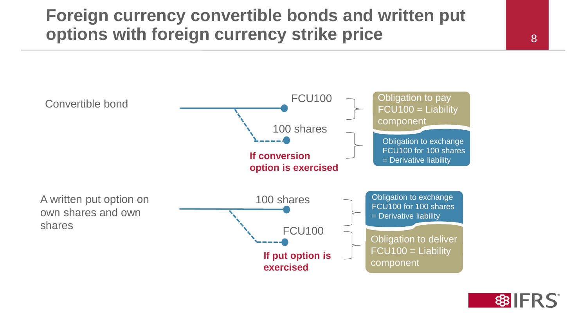## **Foreign currency convertible bonds and written put options with foreign currency strike price**



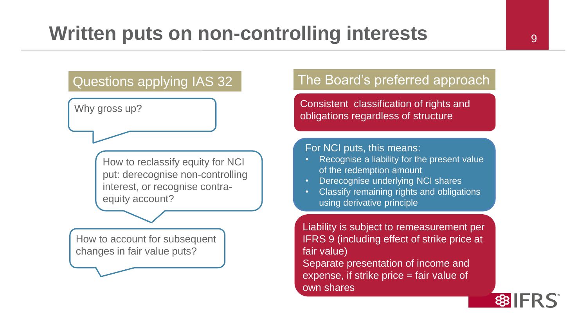How to reclassify equity for NCI put: derecognise non-controlling interest, or recognise contraequity account?

How to account for subsequent changes in fair value puts?

## Questions applying IAS 32 The Board's preferred approach

Why gross up?<br>
Notifiably gross up? obligations regardless of structure

#### For NCI puts, this means:

- Recognise a liability for the present value of the redemption amount
- **Derecognise underlying NCI shares**
- Classify remaining rights and obligations using derivative principle

Liability is subject to remeasurement per IFRS 9 (including effect of strike price at fair value) Separate presentation of income and expense, if strike price = fair value of own shares

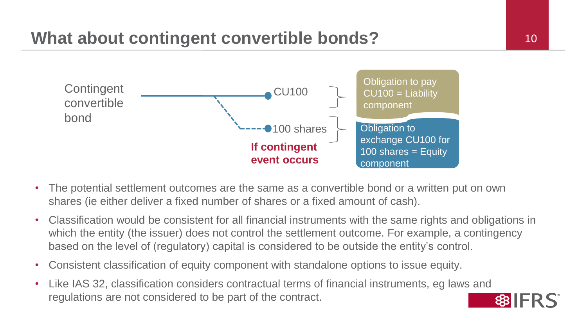# **What about contingent convertible bonds?** 10



- The potential settlement outcomes are the same as a convertible bond or a written put on own shares (ie either deliver a fixed number of shares or a fixed amount of cash).
- Classification would be consistent for all financial instruments with the same rights and obligations in which the entity (the issuer) does not control the settlement outcome. For example, a contingency based on the level of (regulatory) capital is considered to be outside the entity's control.
- Consistent classification of equity component with standalone options to issue equity.
- Like IAS 32, classification considers contractual terms of financial instruments, eg laws and regulations are not considered to be part of the contract.

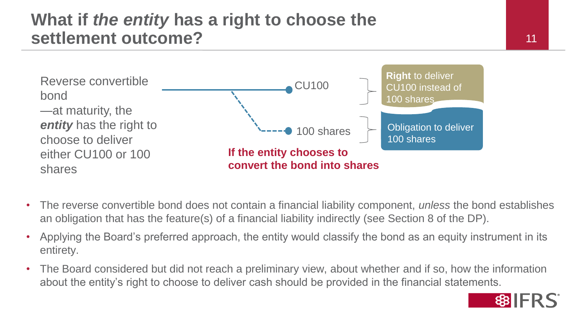## **What if** *the entity* **has a right to choose the settlement outcome?** 11



- The reverse convertible bond does not contain a financial liability component, *unless* the bond establishes an obligation that has the feature(s) of a financial liability indirectly (see Section 8 of the DP).
- Applying the Board's preferred approach, the entity would classify the bond as an equity instrument in its entirety.
- The Board considered but did not reach a preliminary view, about whether and if so, how the information about the entity's right to choose to deliver cash should be provided in the financial statements.

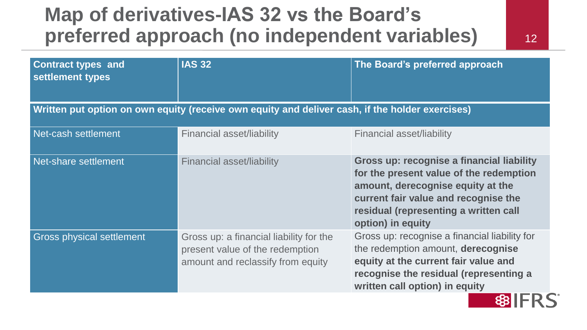# **Map of derivatives-IAS 32 vs the Board's preferred approach (no independent variables)**

12

| <b>Contract types and</b><br>settlement types | <b>IAS 32</b>                                                                                                   | The Board's preferred approach                                                                                                                                                                                                  |
|-----------------------------------------------|-----------------------------------------------------------------------------------------------------------------|---------------------------------------------------------------------------------------------------------------------------------------------------------------------------------------------------------------------------------|
|                                               | Written put option on own equity (receive own equity and deliver cash, if the holder exercises)                 |                                                                                                                                                                                                                                 |
| Net-cash settlement                           | Financial asset/liability                                                                                       | Financial asset/liability                                                                                                                                                                                                       |
| Net-share settlement                          | Financial asset/liability                                                                                       | Gross up: recognise a financial liability<br>for the present value of the redemption<br>amount, derecognise equity at the<br>current fair value and recognise the<br>residual (representing a written call<br>option) in equity |
| <b>Gross physical settlement</b>              | Gross up: a financial liability for the<br>present value of the redemption<br>amount and reclassify from equity | Gross up: recognise a financial liability for<br>the redemption amount, derecognise<br>equity at the current fair value and<br>recognise the residual (representing a<br>written call option) in equity                         |
|                                               |                                                                                                                 |                                                                                                                                                                                                                                 |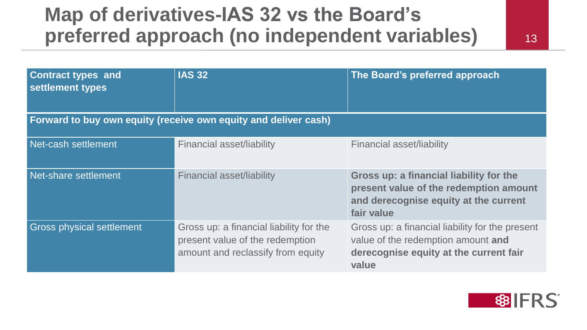# **Map of derivatives-IAS 32 vs the Board's preferred approach (no independent variables)**

13

| <b>Contract types and</b><br>settlement types | <b>IAS 32</b>                                                                                                   | The Board's preferred approach                                                                                                           |
|-----------------------------------------------|-----------------------------------------------------------------------------------------------------------------|------------------------------------------------------------------------------------------------------------------------------------------|
|                                               | Forward to buy own equity (receive own equity and deliver cash)                                                 |                                                                                                                                          |
| Net-cash settlement                           | <b>Financial asset/liability</b>                                                                                | <b>Financial asset/liability</b>                                                                                                         |
| Net-share settlement                          | <b>Financial asset/liability</b>                                                                                | Gross up: a financial liability for the<br>present value of the redemption amount<br>and derecognise equity at the current<br>fair value |
| <b>Gross physical settlement</b>              | Gross up: a financial liability for the<br>present value of the redemption<br>amount and reclassify from equity | Gross up: a financial liability for the present<br>value of the redemption amount and<br>derecognise equity at the current fair<br>value |

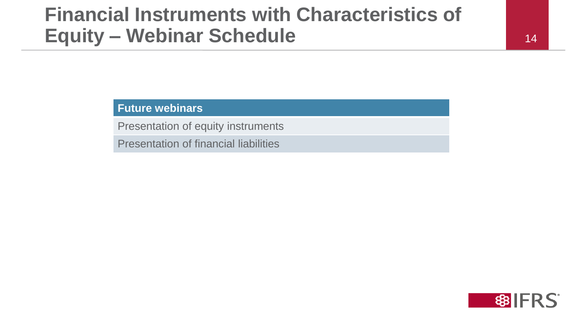# **Financial Instruments with Characteristics of Equity – Webinar Schedule**

#### 14

**Future webinars**

Presentation of equity instruments

Presentation of financial liabilities